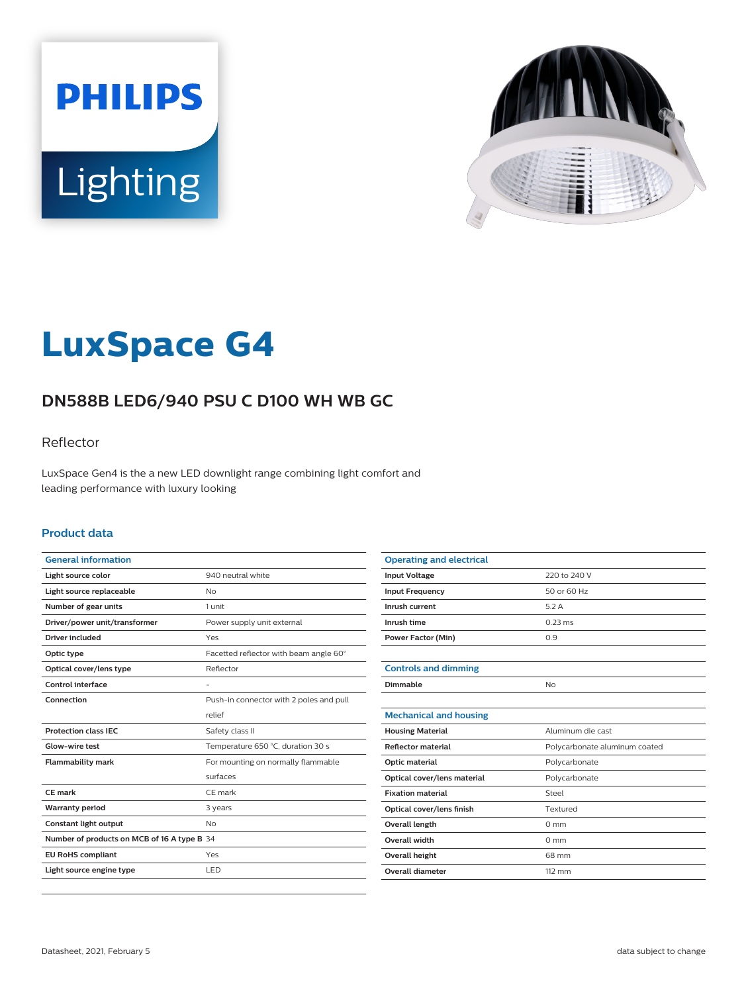



# **LuxSpace G4**

# **DN588B LED6/940 PSU C D100 WH WB GC**

### Reflector

LuxSpace Gen4 is the a new LED downlight range combining light comfort and leading performance with luxury looking

#### **Product data**

| <b>General information</b>                  |                                         |
|---------------------------------------------|-----------------------------------------|
| Light source color                          | 940 neutral white                       |
| Light source replaceable                    | <b>No</b>                               |
| Number of gear units                        | 1 unit                                  |
| Driver/power unit/transformer               | Power supply unit external              |
| Driver included                             | Yes                                     |
| Optic type                                  | Facetted reflector with beam angle 60°  |
| Optical cover/lens type                     | Reflector                               |
| Control interface                           |                                         |
| Connection                                  | Push-in connector with 2 poles and pull |
|                                             | relief                                  |
| <b>Protection class IEC</b>                 | Safety class II                         |
| Glow-wire test                              | Temperature 650 °C, duration 30 s       |
| <b>Flammability mark</b>                    | For mounting on normally flammable      |
|                                             | surfaces                                |
| CF mark                                     | CE mark                                 |
| <b>Warranty period</b>                      | 3 years                                 |
| Constant light output                       | <b>No</b>                               |
| Number of products on MCB of 16 A type B 34 |                                         |
| <b>EU RoHS compliant</b>                    | Yes                                     |
| Light source engine type                    | LED                                     |
|                                             |                                         |

| <b>Operating and electrical</b> |                               |
|---------------------------------|-------------------------------|
| <b>Input Voltage</b>            | 220 to 240 V                  |
| <b>Input Frequency</b>          | 50 or 60 Hz                   |
| Inrush current                  | 5.2A                          |
| Inrush time                     | $0.23 \text{ ms}$             |
| <b>Power Factor (Min)</b>       | 0.9                           |
|                                 |                               |
| <b>Controls and dimming</b>     |                               |
| Dimmable                        | No                            |
|                                 |                               |
| <b>Mechanical and housing</b>   |                               |
| <b>Housing Material</b>         | Aluminum die cast             |
| <b>Reflector material</b>       | Polycarbonate aluminum coated |
| Optic material                  | Polycarbonate                 |
| Optical cover/lens material     | Polycarbonate                 |
| <b>Fixation material</b>        | Steel                         |
| Optical cover/lens finish       | Textured                      |
| <b>Overall length</b>           | $0 \text{ mm}$                |
| <b>Overall width</b>            | $0 \text{ mm}$                |
| <b>Overall height</b>           | 68 mm                         |
| Overall diameter                | $112 \, \text{mm}$            |
|                                 |                               |